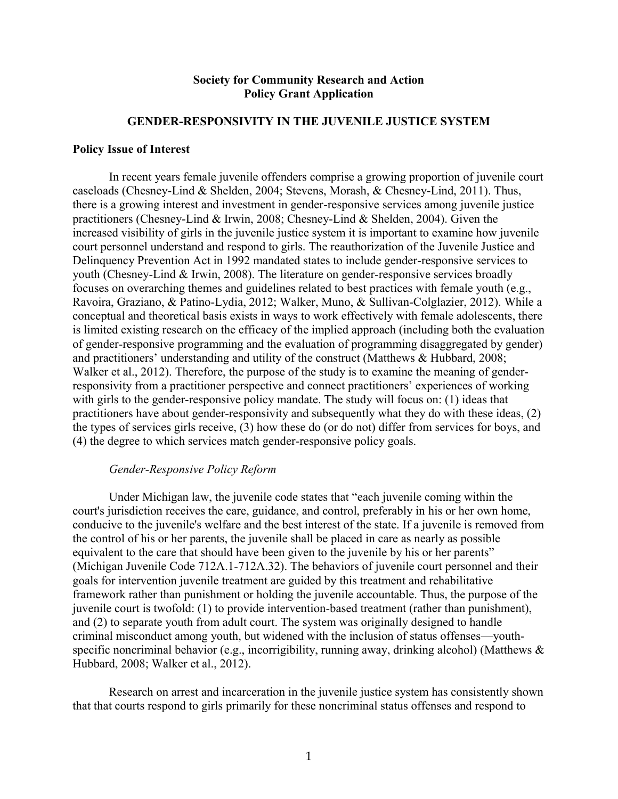## **Society for Community Research and Action Policy Grant Application**

#### **GENDER-RESPONSIVITY IN THE JUVENILE JUSTICE SYSTEM**

#### **Policy Issue of Interest**

In recent years female juvenile offenders comprise a growing proportion of juvenile court caseloads (Chesney-Lind & Shelden, 2004; Stevens, Morash, & Chesney-Lind, 2011). Thus, there is a growing interest and investment in gender-responsive services among juvenile justice practitioners (Chesney-Lind & Irwin, 2008; Chesney-Lind & Shelden, 2004). Given the increased visibility of girls in the juvenile justice system it is important to examine how juvenile court personnel understand and respond to girls. The reauthorization of the Juvenile Justice and Delinquency Prevention Act in 1992 mandated states to include gender-responsive services to youth (Chesney-Lind & Irwin, 2008). The literature on gender-responsive services broadly focuses on overarching themes and guidelines related to best practices with female youth (e.g., Ravoira, Graziano, & Patino-Lydia, 2012; Walker, Muno, & Sullivan-Colglazier, 2012). While a conceptual and theoretical basis exists in ways to work effectively with female adolescents, there is limited existing research on the efficacy of the implied approach (including both the evaluation of gender-responsive programming and the evaluation of programming disaggregated by gender) and practitioners' understanding and utility of the construct (Matthews & Hubbard, 2008; Walker et al., 2012). Therefore, the purpose of the study is to examine the meaning of genderresponsivity from a practitioner perspective and connect practitioners' experiences of working with girls to the gender-responsive policy mandate. The study will focus on: (1) ideas that practitioners have about gender-responsivity and subsequently what they do with these ideas, (2) the types of services girls receive, (3) how these do (or do not) differ from services for boys, and (4) the degree to which services match gender-responsive policy goals.

#### *Gender-Responsive Policy Reform*

Under Michigan law, the juvenile code states that "each juvenile coming within the court's jurisdiction receives the care, guidance, and control, preferably in his or her own home, conducive to the juvenile's welfare and the best interest of the state. If a juvenile is removed from the control of his or her parents, the juvenile shall be placed in care as nearly as possible equivalent to the care that should have been given to the juvenile by his or her parents" (Michigan Juvenile Code 712A.1-712A.32). The behaviors of juvenile court personnel and their goals for intervention juvenile treatment are guided by this treatment and rehabilitative framework rather than punishment or holding the juvenile accountable. Thus, the purpose of the juvenile court is twofold: (1) to provide intervention-based treatment (rather than punishment), and (2) to separate youth from adult court. The system was originally designed to handle criminal misconduct among youth, but widened with the inclusion of status offenses—youthspecific noncriminal behavior (e.g., incorrigibility, running away, drinking alcohol) (Matthews & Hubbard, 2008; Walker et al., 2012).

Research on arrest and incarceration in the juvenile justice system has consistently shown that that courts respond to girls primarily for these noncriminal status offenses and respond to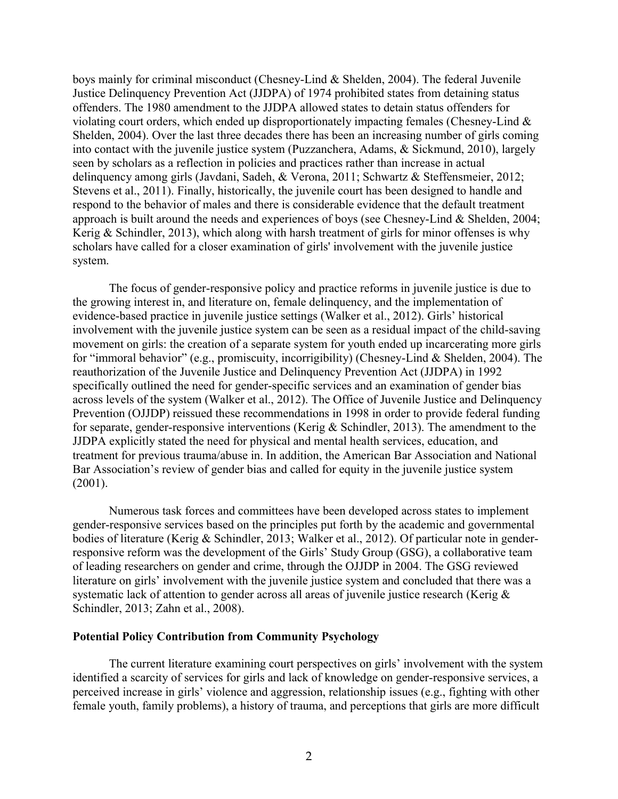boys mainly for criminal misconduct (Chesney-Lind & Shelden, 2004). The federal Juvenile Justice Delinquency Prevention Act (JJDPA) of 1974 prohibited states from detaining status offenders. The 1980 amendment to the JJDPA allowed states to detain status offenders for violating court orders, which ended up disproportionately impacting females (Chesney-Lind & Shelden, 2004). Over the last three decades there has been an increasing number of girls coming into contact with the juvenile justice system (Puzzanchera, Adams, & Sickmund, 2010), largely seen by scholars as a reflection in policies and practices rather than increase in actual delinquency among girls (Javdani, Sadeh, & Verona, 2011; Schwartz & Steffensmeier, 2012; Stevens et al., 2011). Finally, historically, the juvenile court has been designed to handle and respond to the behavior of males and there is considerable evidence that the default treatment approach is built around the needs and experiences of boys (see Chesney-Lind & Shelden, 2004; Kerig  $& Schindler, 2013$ , which along with harsh treatment of girls for minor offenses is why scholars have called for a closer examination of girls' involvement with the juvenile justice system.

The focus of gender-responsive policy and practice reforms in juvenile justice is due to the growing interest in, and literature on, female delinquency, and the implementation of evidence-based practice in juvenile justice settings (Walker et al., 2012). Girls' historical involvement with the juvenile justice system can be seen as a residual impact of the child-saving movement on girls: the creation of a separate system for youth ended up incarcerating more girls for "immoral behavior" (e.g., promiscuity, incorrigibility) (Chesney-Lind & Shelden, 2004). The reauthorization of the Juvenile Justice and Delinquency Prevention Act (JJDPA) in 1992 specifically outlined the need for gender-specific services and an examination of gender bias across levels of the system (Walker et al., 2012). The Office of Juvenile Justice and Delinquency Prevention (OJJDP) reissued these recommendations in 1998 in order to provide federal funding for separate, gender-responsive interventions (Kerig & Schindler, 2013). The amendment to the JJDPA explicitly stated the need for physical and mental health services, education, and treatment for previous trauma/abuse in. In addition, the American Bar Association and National Bar Association's review of gender bias and called for equity in the juvenile justice system (2001).

Numerous task forces and committees have been developed across states to implement gender-responsive services based on the principles put forth by the academic and governmental bodies of literature (Kerig & Schindler, 2013; Walker et al., 2012). Of particular note in genderresponsive reform was the development of the Girls' Study Group (GSG), a collaborative team of leading researchers on gender and crime, through the OJJDP in 2004. The GSG reviewed literature on girls' involvement with the juvenile justice system and concluded that there was a systematic lack of attention to gender across all areas of juvenile justice research (Kerig & Schindler, 2013; Zahn et al., 2008).

#### **Potential Policy Contribution from Community Psychology**

The current literature examining court perspectives on girls' involvement with the system identified a scarcity of services for girls and lack of knowledge on gender-responsive services, a perceived increase in girls' violence and aggression, relationship issues (e.g., fighting with other female youth, family problems), a history of trauma, and perceptions that girls are more difficult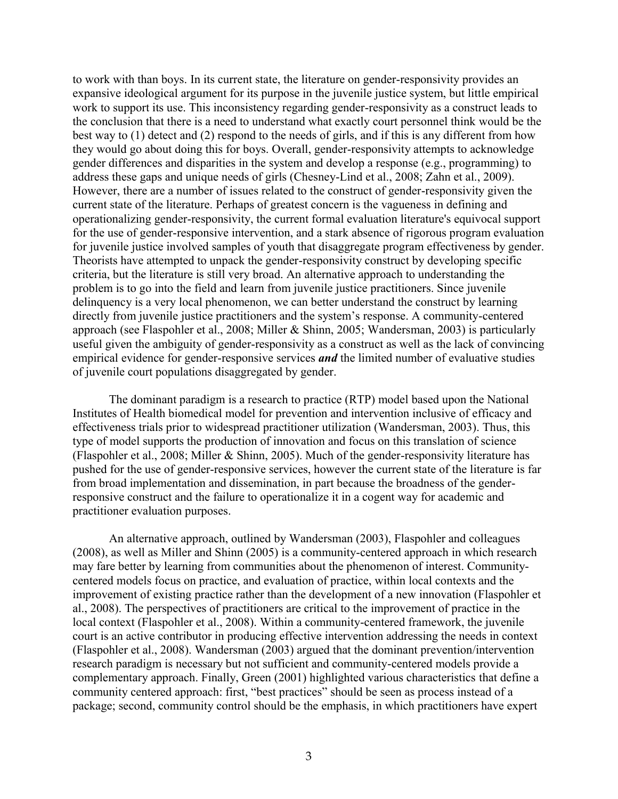to work with than boys. In its current state, the literature on gender-responsivity provides an expansive ideological argument for its purpose in the juvenile justice system, but little empirical work to support its use. This inconsistency regarding gender-responsivity as a construct leads to the conclusion that there is a need to understand what exactly court personnel think would be the best way to (1) detect and (2) respond to the needs of girls, and if this is any different from how they would go about doing this for boys. Overall, gender-responsivity attempts to acknowledge gender differences and disparities in the system and develop a response (e.g., programming) to address these gaps and unique needs of girls (Chesney-Lind et al., 2008; Zahn et al., 2009). However, there are a number of issues related to the construct of gender-responsivity given the current state of the literature. Perhaps of greatest concern is the vagueness in defining and operationalizing gender-responsivity, the current formal evaluation literature's equivocal support for the use of gender-responsive intervention, and a stark absence of rigorous program evaluation for juvenile justice involved samples of youth that disaggregate program effectiveness by gender. Theorists have attempted to unpack the gender-responsivity construct by developing specific criteria, but the literature is still very broad. An alternative approach to understanding the problem is to go into the field and learn from juvenile justice practitioners. Since juvenile delinquency is a very local phenomenon, we can better understand the construct by learning directly from juvenile justice practitioners and the system's response. A community-centered approach (see Flaspohler et al., 2008; Miller & Shinn, 2005; Wandersman, 2003) is particularly useful given the ambiguity of gender-responsivity as a construct as well as the lack of convincing empirical evidence for gender-responsive services *and* the limited number of evaluative studies of juvenile court populations disaggregated by gender.

The dominant paradigm is a research to practice (RTP) model based upon the National Institutes of Health biomedical model for prevention and intervention inclusive of efficacy and effectiveness trials prior to widespread practitioner utilization (Wandersman, 2003). Thus, this type of model supports the production of innovation and focus on this translation of science (Flaspohler et al., 2008; Miller & Shinn, 2005). Much of the gender-responsivity literature has pushed for the use of gender-responsive services, however the current state of the literature is far from broad implementation and dissemination, in part because the broadness of the genderresponsive construct and the failure to operationalize it in a cogent way for academic and practitioner evaluation purposes.

An alternative approach, outlined by Wandersman (2003), Flaspohler and colleagues (2008), as well as Miller and Shinn (2005) is a community-centered approach in which research may fare better by learning from communities about the phenomenon of interest. Communitycentered models focus on practice, and evaluation of practice, within local contexts and the improvement of existing practice rather than the development of a new innovation (Flaspohler et al., 2008). The perspectives of practitioners are critical to the improvement of practice in the local context (Flaspohler et al., 2008). Within a community-centered framework, the juvenile court is an active contributor in producing effective intervention addressing the needs in context (Flaspohler et al., 2008). Wandersman (2003) argued that the dominant prevention/intervention research paradigm is necessary but not sufficient and community-centered models provide a complementary approach. Finally, Green (2001) highlighted various characteristics that define a community centered approach: first, "best practices" should be seen as process instead of a package; second, community control should be the emphasis, in which practitioners have expert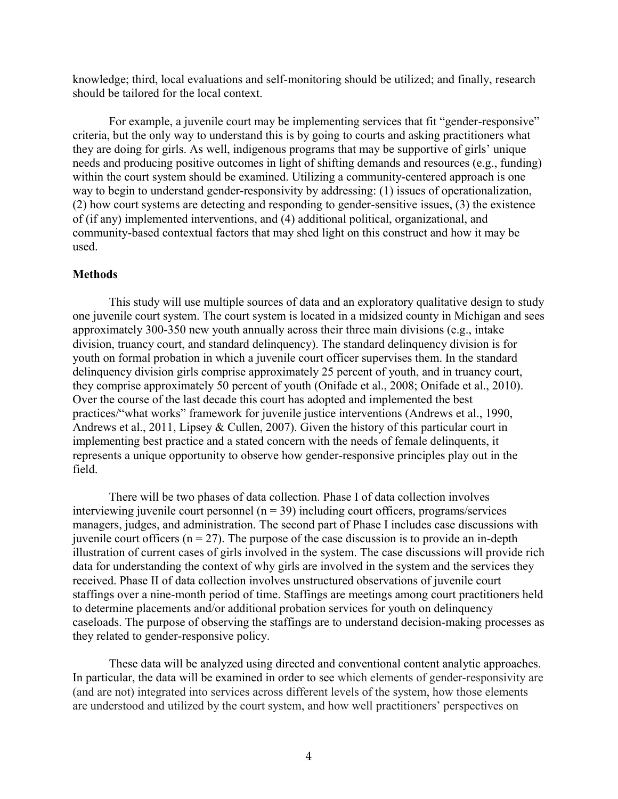knowledge; third, local evaluations and self-monitoring should be utilized; and finally, research should be tailored for the local context.

For example, a juvenile court may be implementing services that fit "gender-responsive" criteria, but the only way to understand this is by going to courts and asking practitioners what they are doing for girls. As well, indigenous programs that may be supportive of girls' unique needs and producing positive outcomes in light of shifting demands and resources (e.g., funding) within the court system should be examined. Utilizing a community-centered approach is one way to begin to understand gender-responsivity by addressing: (1) issues of operationalization, (2) how court systems are detecting and responding to gender-sensitive issues, (3) the existence of (if any) implemented interventions, and (4) additional political, organizational, and community-based contextual factors that may shed light on this construct and how it may be used.

## **Methods**

This study will use multiple sources of data and an exploratory qualitative design to study one juvenile court system. The court system is located in a midsized county in Michigan and sees approximately 300-350 new youth annually across their three main divisions (e.g., intake division, truancy court, and standard delinquency). The standard delinquency division is for youth on formal probation in which a juvenile court officer supervises them. In the standard delinquency division girls comprise approximately 25 percent of youth, and in truancy court, they comprise approximately 50 percent of youth (Onifade et al., 2008; Onifade et al., 2010). Over the course of the last decade this court has adopted and implemented the best practices/"what works" framework for juvenile justice interventions (Andrews et al., 1990, Andrews et al., 2011, Lipsey & Cullen, 2007). Given the history of this particular court in implementing best practice and a stated concern with the needs of female delinquents, it represents a unique opportunity to observe how gender-responsive principles play out in the field.

There will be two phases of data collection. Phase I of data collection involves interviewing juvenile court personnel ( $n = 39$ ) including court officers, programs/services managers, judges, and administration. The second part of Phase I includes case discussions with juvenile court officers ( $n = 27$ ). The purpose of the case discussion is to provide an in-depth illustration of current cases of girls involved in the system. The case discussions will provide rich data for understanding the context of why girls are involved in the system and the services they received. Phase II of data collection involves unstructured observations of juvenile court staffings over a nine-month period of time. Staffings are meetings among court practitioners held to determine placements and/or additional probation services for youth on delinquency caseloads. The purpose of observing the staffings are to understand decision-making processes as they related to gender-responsive policy.

These data will be analyzed using directed and conventional content analytic approaches. In particular, the data will be examined in order to see which elements of gender-responsivity are (and are not) integrated into services across different levels of the system, how those elements are understood and utilized by the court system, and how well practitioners' perspectives on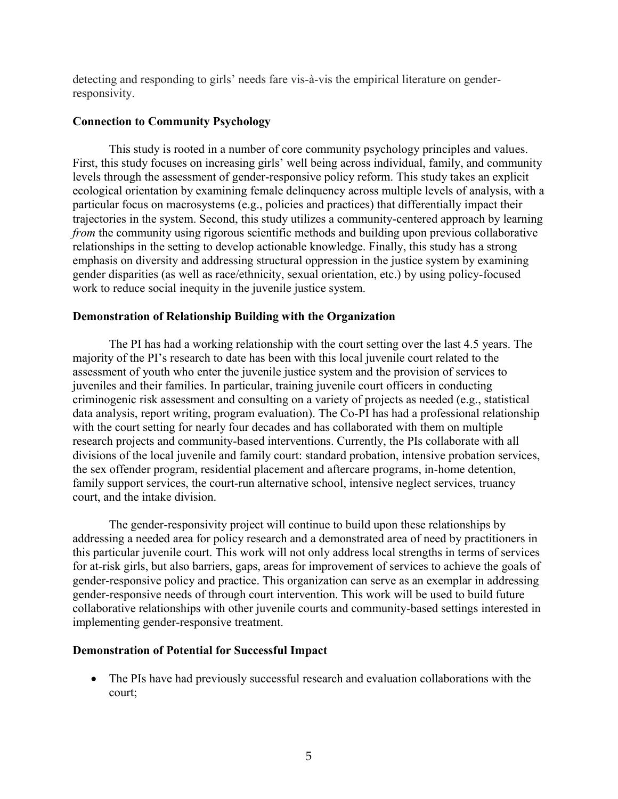detecting and responding to girls' needs fare vis-à-vis the empirical literature on genderresponsivity.

# **Connection to Community Psychology**

This study is rooted in a number of core community psychology principles and values. First, this study focuses on increasing girls' well being across individual, family, and community levels through the assessment of gender-responsive policy reform. This study takes an explicit ecological orientation by examining female delinquency across multiple levels of analysis, with a particular focus on macrosystems (e.g., policies and practices) that differentially impact their trajectories in the system. Second, this study utilizes a community-centered approach by learning *from* the community using rigorous scientific methods and building upon previous collaborative relationships in the setting to develop actionable knowledge. Finally, this study has a strong emphasis on diversity and addressing structural oppression in the justice system by examining gender disparities (as well as race/ethnicity, sexual orientation, etc.) by using policy-focused work to reduce social inequity in the juvenile justice system.

# **Demonstration of Relationship Building with the Organization**

The PI has had a working relationship with the court setting over the last 4.5 years. The majority of the PI's research to date has been with this local juvenile court related to the assessment of youth who enter the juvenile justice system and the provision of services to juveniles and their families. In particular, training juvenile court officers in conducting criminogenic risk assessment and consulting on a variety of projects as needed (e.g., statistical data analysis, report writing, program evaluation). The Co-PI has had a professional relationship with the court setting for nearly four decades and has collaborated with them on multiple research projects and community-based interventions. Currently, the PIs collaborate with all divisions of the local juvenile and family court: standard probation, intensive probation services, the sex offender program, residential placement and aftercare programs, in-home detention, family support services, the court-run alternative school, intensive neglect services, truancy court, and the intake division.

The gender-responsivity project will continue to build upon these relationships by addressing a needed area for policy research and a demonstrated area of need by practitioners in this particular juvenile court. This work will not only address local strengths in terms of services for at-risk girls, but also barriers, gaps, areas for improvement of services to achieve the goals of gender-responsive policy and practice. This organization can serve as an exemplar in addressing gender-responsive needs of through court intervention. This work will be used to build future collaborative relationships with other juvenile courts and community-based settings interested in implementing gender-responsive treatment.

## **Demonstration of Potential for Successful Impact**

• The PIs have had previously successful research and evaluation collaborations with the court;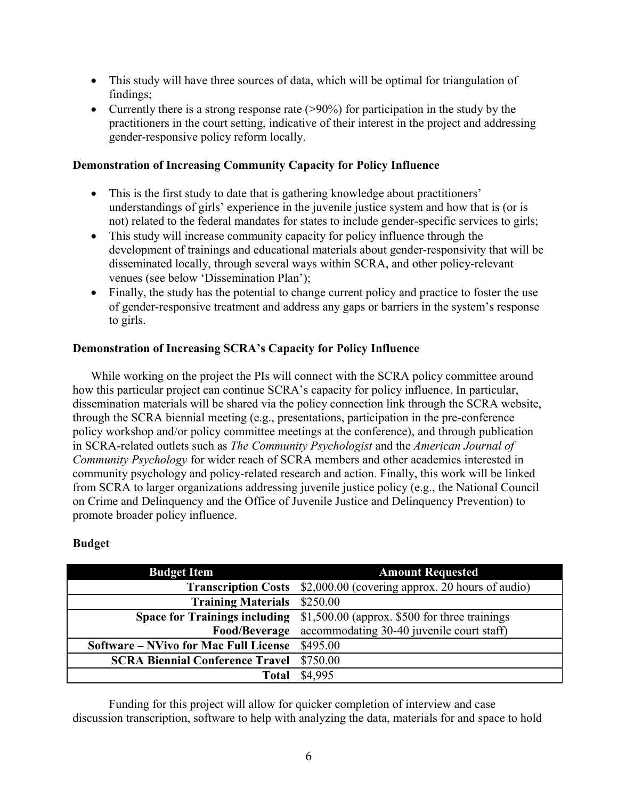- This study will have three sources of data, which will be optimal for triangulation of findings;
- Currently there is a strong response rate  $(>90\%)$  for participation in the study by the practitioners in the court setting, indicative of their interest in the project and addressing gender-responsive policy reform locally.

# **Demonstration of Increasing Community Capacity for Policy Influence**

- This is the first study to date that is gathering knowledge about practitioners' understandings of girls' experience in the juvenile justice system and how that is (or is not) related to the federal mandates for states to include gender-specific services to girls;
- This study will increase community capacity for policy influence through the development of trainings and educational materials about gender-responsivity that will be disseminated locally, through several ways within SCRA, and other policy-relevant venues (see below 'Dissemination Plan');
- Finally, the study has the potential to change current policy and practice to foster the use of gender-responsive treatment and address any gaps or barriers in the system's response to girls.

# **Demonstration of Increasing SCRA's Capacity for Policy Influence**

While working on the project the PIs will connect with the SCRA policy committee around how this particular project can continue SCRA's capacity for policy influence. In particular, dissemination materials will be shared via the policy connection link through the SCRA website, through the SCRA biennial meeting (e.g., presentations, participation in the pre-conference policy workshop and/or policy committee meetings at the conference), and through publication in SCRA-related outlets such as *The Community Psychologist* and the *American Journal of Community Psychology* for wider reach of SCRA members and other academics interested in community psychology and policy-related research and action. Finally, this work will be linked from SCRA to larger organizations addressing juvenile justice policy (e.g., the National Council on Crime and Delinquency and the Office of Juvenile Justice and Delinquency Prevention) to promote broader policy influence.

## **Budget**

| <b>Budget Item</b>                              | <b>Amount Requested</b>                                                            |  |
|-------------------------------------------------|------------------------------------------------------------------------------------|--|
|                                                 | <b>Transcription Costs</b> \$2,000.00 (covering approx. 20 hours of audio)         |  |
| <b>Training Materials</b> \$250.00              |                                                                                    |  |
|                                                 | <b>Space for Trainings including</b> \$1,500.00 (approx. \$500 for three trainings |  |
|                                                 | Food/Beverage accommodating 30-40 juvenile court staff)                            |  |
| Software – NVivo for Mac Full License \$495.00  |                                                                                    |  |
| <b>SCRA Biennial Conference Travel \$750.00</b> |                                                                                    |  |
| Total                                           | \$4,995                                                                            |  |

Funding for this project will allow for quicker completion of interview and case discussion transcription, software to help with analyzing the data, materials for and space to hold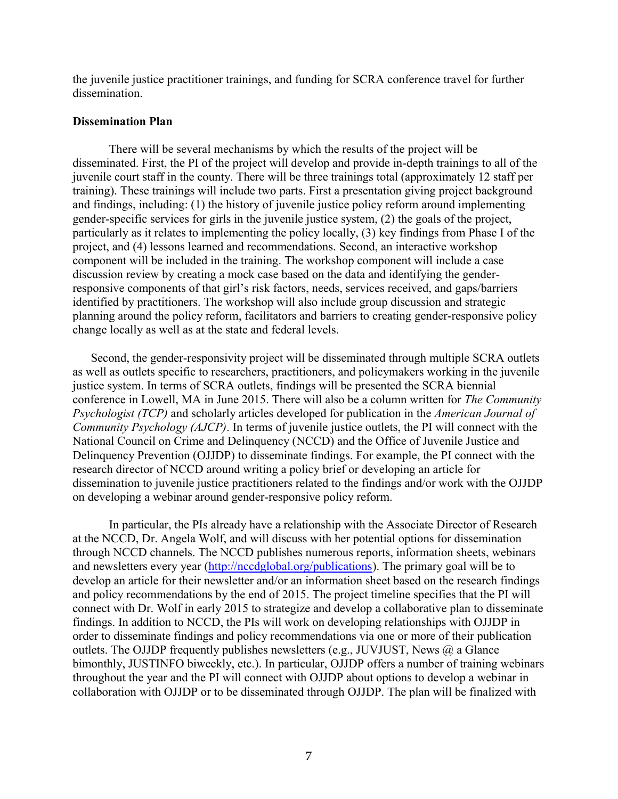the juvenile justice practitioner trainings, and funding for SCRA conference travel for further dissemination.

## **Dissemination Plan**

There will be several mechanisms by which the results of the project will be disseminated. First, the PI of the project will develop and provide in-depth trainings to all of the juvenile court staff in the county. There will be three trainings total (approximately 12 staff per training). These trainings will include two parts. First a presentation giving project background and findings, including: (1) the history of juvenile justice policy reform around implementing gender-specific services for girls in the juvenile justice system, (2) the goals of the project, particularly as it relates to implementing the policy locally, (3) key findings from Phase I of the project, and (4) lessons learned and recommendations. Second, an interactive workshop component will be included in the training. The workshop component will include a case discussion review by creating a mock case based on the data and identifying the genderresponsive components of that girl's risk factors, needs, services received, and gaps/barriers identified by practitioners. The workshop will also include group discussion and strategic planning around the policy reform, facilitators and barriers to creating gender-responsive policy change locally as well as at the state and federal levels.

Second, the gender-responsivity project will be disseminated through multiple SCRA outlets as well as outlets specific to researchers, practitioners, and policymakers working in the juvenile justice system. In terms of SCRA outlets, findings will be presented the SCRA biennial conference in Lowell, MA in June 2015. There will also be a column written for *The Community Psychologist (TCP)* and scholarly articles developed for publication in the *American Journal of Community Psychology (AJCP)*. In terms of juvenile justice outlets, the PI will connect with the National Council on Crime and Delinquency (NCCD) and the Office of Juvenile Justice and Delinquency Prevention (OJJDP) to disseminate findings. For example, the PI connect with the research director of NCCD around writing a policy brief or developing an article for dissemination to juvenile justice practitioners related to the findings and/or work with the OJJDP on developing a webinar around gender-responsive policy reform.

In particular, the PIs already have a relationship with the Associate Director of Research at the NCCD, Dr. Angela Wolf, and will discuss with her potential options for dissemination through NCCD channels. The NCCD publishes numerous reports, information sheets, webinars and newsletters every year [\(http://nccdglobal.org/publications\)](http://nccdglobal.org/publications). The primary goal will be to develop an article for their newsletter and/or an information sheet based on the research findings and policy recommendations by the end of 2015. The project timeline specifies that the PI will connect with Dr. Wolf in early 2015 to strategize and develop a collaborative plan to disseminate findings. In addition to NCCD, the PIs will work on developing relationships with OJJDP in order to disseminate findings and policy recommendations via one or more of their publication outlets. The OJJDP frequently publishes newsletters (e.g., JUVJUST, News @ a Glance bimonthly, JUSTINFO biweekly, etc.). In particular, OJJDP offers a number of training webinars throughout the year and the PI will connect with OJJDP about options to develop a webinar in collaboration with OJJDP or to be disseminated through OJJDP. The plan will be finalized with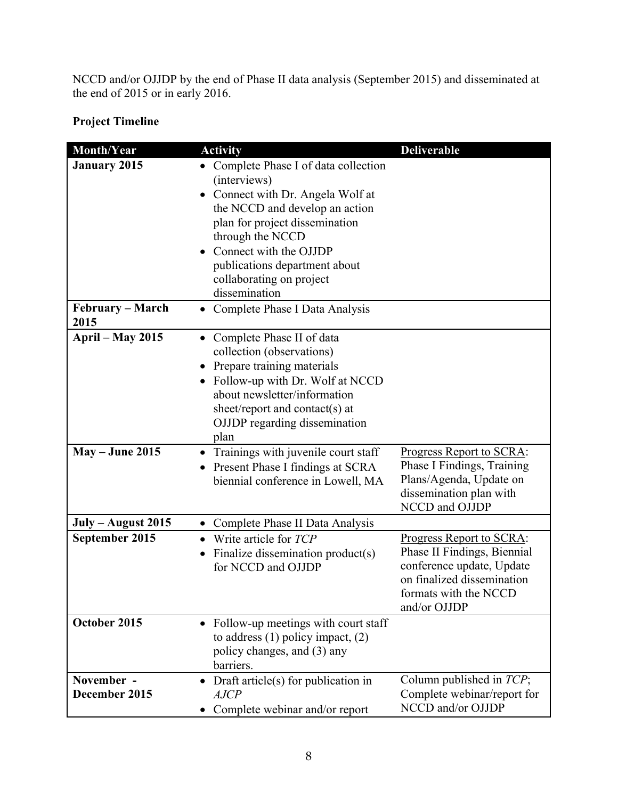NCCD and/or OJJDP by the end of Phase II data analysis (September 2015) and disseminated at the end of 2015 or in early 2016.

# **Project Timeline**

| Month/Year                      | <b>Activity</b>                                                                                                                                                                                                                                                                        | <b>Deliverable</b>                                                                                                                                          |
|---------------------------------|----------------------------------------------------------------------------------------------------------------------------------------------------------------------------------------------------------------------------------------------------------------------------------------|-------------------------------------------------------------------------------------------------------------------------------------------------------------|
| <b>January 2015</b>             | Complete Phase I of data collection<br>(interviews)<br>Connect with Dr. Angela Wolf at<br>the NCCD and develop an action<br>plan for project dissemination<br>through the NCCD<br>Connect with the OJJDP<br>publications department about<br>collaborating on project<br>dissemination |                                                                                                                                                             |
| <b>February – March</b><br>2015 | Complete Phase I Data Analysis                                                                                                                                                                                                                                                         |                                                                                                                                                             |
| <b>April – May 2015</b>         | Complete Phase II of data<br>$\bullet$<br>collection (observations)<br>• Prepare training materials<br>• Follow-up with Dr. Wolf at NCCD<br>about newsletter/information<br>sheet/report and contact(s) at<br>OJJDP regarding dissemination<br>plan                                    |                                                                                                                                                             |
| <b>May – June 2015</b>          | • Trainings with juvenile court staff<br>Present Phase I findings at SCRA<br>$\bullet$<br>biennial conference in Lowell, MA                                                                                                                                                            | Progress Report to SCRA:<br>Phase I Findings, Training<br>Plans/Agenda, Update on<br>dissemination plan with<br>NCCD and OJJDP                              |
| July – August 2015              | Complete Phase II Data Analysis<br>$\bullet$                                                                                                                                                                                                                                           |                                                                                                                                                             |
| September 2015                  | $\bullet$ Write article for $TCP$<br>Finalize dissemination product(s)<br>for NCCD and OJJDP                                                                                                                                                                                           | Progress Report to SCRA:<br>Phase II Findings, Biennial<br>conference update, Update<br>on finalized dissemination<br>formats with the NCCD<br>and/or OJJDP |
| October 2015                    | • Follow-up meetings with court staff<br>to address $(1)$ policy impact, $(2)$<br>policy changes, and (3) any<br>barriers.                                                                                                                                                             |                                                                                                                                                             |
| November -<br>December 2015     | Draft article(s) for publication in<br><b>AJCP</b><br>Complete webinar and/or report                                                                                                                                                                                                   | Column published in TCP;<br>Complete webinar/report for<br>NCCD and/or OJJDP                                                                                |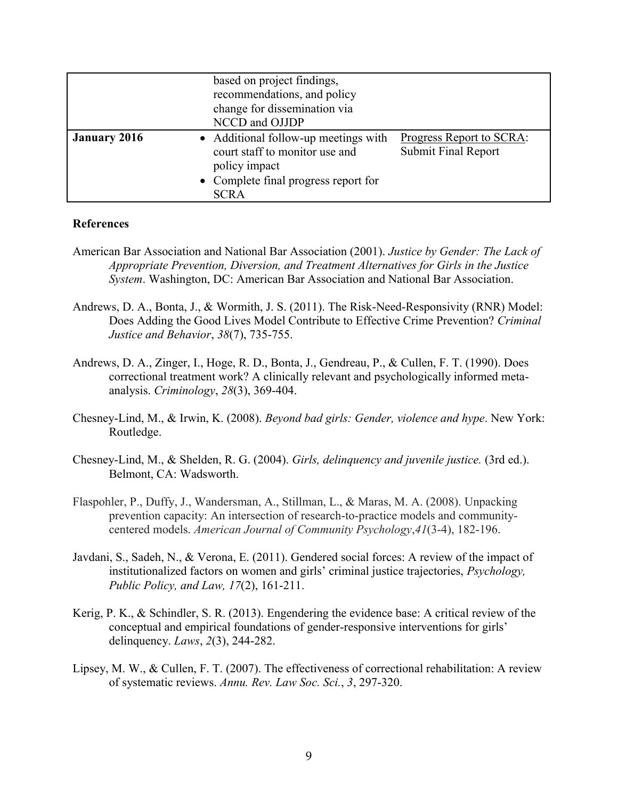|                     | based on project findings,<br>recommendations, and policy<br>change for dissemination via<br>NCCD and OJJDP                                    |                                                        |
|---------------------|------------------------------------------------------------------------------------------------------------------------------------------------|--------------------------------------------------------|
| <b>January 2016</b> | • Additional follow-up meetings with<br>court staff to monitor use and<br>policy impact<br>• Complete final progress report for<br><b>SCRA</b> | Progress Report to SCRA:<br><b>Submit Final Report</b> |

## **References**

- American Bar Association and National Bar Association (2001). *Justice by Gender: The Lack of Appropriate Prevention, Diversion, and Treatment Alternatives for Girls in the Justice System*. Washington, DC: American Bar Association and National Bar Association.
- Andrews, D. A., Bonta, J., & Wormith, J. S. (2011). The Risk-Need-Responsivity (RNR) Model: Does Adding the Good Lives Model Contribute to Effective Crime Prevention? *Criminal Justice and Behavior*, *38*(7), 735-755.
- Andrews, D. A., Zinger, I., Hoge, R. D., Bonta, J., Gendreau, P., & Cullen, F. T. (1990). Does correctional treatment work? A clinically relevant and psychologically informed metaanalysis. *Criminology*, *28*(3), 369-404.
- Chesney-Lind, M., & Irwin, K. (2008). *Beyond bad girls: Gender, violence and hype*. New York: Routledge.
- Chesney-Lind, M., & Shelden, R. G. (2004). *Girls, delinquency and juvenile justice.* (3rd ed.). Belmont, CA: Wadsworth.
- Flaspohler, P., Duffy, J., Wandersman, A., Stillman, L., & Maras, M. A. (2008). Unpacking prevention capacity: An intersection of research-to-practice models and communitycentered models. *American Journal of Community Psychology*,*41*(3-4), 182-196.
- Javdani, S., Sadeh, N., & Verona, E. (2011). Gendered social forces: A review of the impact of institutionalized factors on women and girls' criminal justice trajectories, *Psychology, Public Policy, and Law, 17*(2), 161-211.
- Kerig, P. K., & Schindler, S. R. (2013). Engendering the evidence base: A critical review of the conceptual and empirical foundations of gender-responsive interventions for girls' delinquency. *Laws*, *2*(3), 244-282.
- Lipsey, M. W., & Cullen, F. T. (2007). The effectiveness of correctional rehabilitation: A review of systematic reviews. *Annu. Rev. Law Soc. Sci.*, *3*, 297-320.